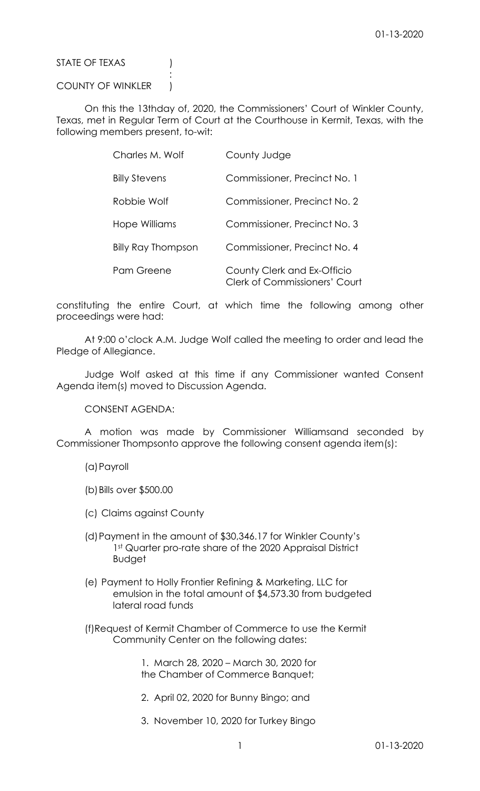STATE OF TEXAS (1)

COUNTY OF WINKLER )

**Service State State State State** 

 On this the 13thday of, 2020, the Commissioners' Court of Winkler County, Texas, met in Regular Term of Court at the Courthouse in Kermit, Texas, with the following members present, to-wit:

| Charles M. Wolf           | County Judge                                                        |
|---------------------------|---------------------------------------------------------------------|
| <b>Billy Stevens</b>      | Commissioner, Precinct No. 1                                        |
| Robbie Wolf               | Commissioner, Precinct No. 2                                        |
| Hope Williams             | Commissioner, Precinct No. 3                                        |
| <b>Billy Ray Thompson</b> | Commissioner, Precinct No. 4                                        |
| Pam Greene                | County Clerk and Ex-Officio<br><b>Clerk of Commissioners' Court</b> |

constituting the entire Court, at which time the following among other proceedings were had:

 At 9:00 o'clock A.M. Judge Wolf called the meeting to order and lead the Pledge of Allegiance.

 Judge Wolf asked at this time if any Commissioner wanted Consent Agenda item(s) moved to Discussion Agenda.

CONSENT AGENDA:

 A motion was made by Commissioner Williamsand seconded by Commissioner Thompsonto approve the following consent agenda item(s):

(a)Payroll

(b)Bills over \$500.00

- (c) Claims against County
- (d)Payment in the amount of \$30,346.17 for Winkler County's 1st Quarter pro-rate share of the 2020 Appraisal District Budget
- (e) Payment to Holly Frontier Refining & Marketing, LLC for emulsion in the total amount of \$4,573.30 from budgeted lateral road funds
- (f)Request of Kermit Chamber of Commerce to use the Kermit Community Center on the following dates:

 1. March 28, 2020 – March 30, 2020 for the Chamber of Commerce Banquet;

- 2. April 02, 2020 for Bunny Bingo; and
- 3. November 10, 2020 for Turkey Bingo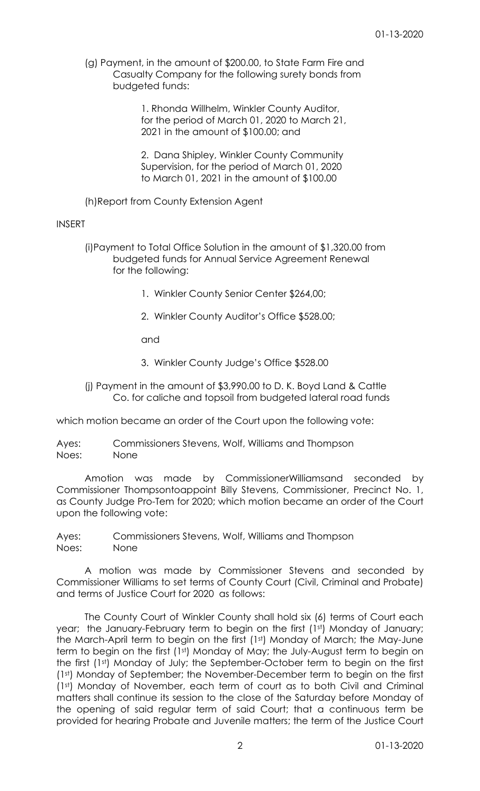(g) Payment, in the amount of \$200.00, to State Farm Fire and Casualty Company for the following surety bonds from budgeted funds:

> 1. Rhonda Willhelm, Winkler County Auditor, for the period of March 01, 2020 to March 21, 2021 in the amount of \$100.00; and

 2. Dana Shipley, Winkler County Community Supervision, for the period of March 01, 2020 to March 01, 2021 in the amount of \$100.00

(h)Report from County Extension Agent

## INSERT

 (i)Payment to Total Office Solution in the amount of \$1,320.00 from budgeted funds for Annual Service Agreement Renewal for the following:

- 1. Winkler County Senior Center \$264,00;
- 2. Winkler County Auditor's Office \$528.00;

and

- 3. Winkler County Judge's Office \$528.00
- (j) Payment in the amount of \$3,990.00 to D. K. Boyd Land & Cattle Co. for caliche and topsoil from budgeted lateral road funds

which motion became an order of the Court upon the following vote:

Ayes: Commissioners Stevens, Wolf, Williams and Thompson Noes: None

 Amotion was made by CommissionerWilliamsand seconded by Commissioner Thompsontoappoint Billy Stevens, Commissioner, Precinct No. 1, as County Judge Pro-Tem for 2020; which motion became an order of the Court upon the following vote:

Ayes: Commissioners Stevens, Wolf, Williams and Thompson Noes: None

 A motion was made by Commissioner Stevens and seconded by Commissioner Williams to set terms of County Court (Civil, Criminal and Probate) and terms of Justice Court for 2020 as follows:

 The County Court of Winkler County shall hold six (6) terms of Court each year; the January-February term to begin on the first (1st) Monday of January; the March-April term to begin on the first (1st) Monday of March; the May-June term to begin on the first (1st) Monday of May; the July-August term to begin on the first (1st) Monday of July; the September-October term to begin on the first (1st) Monday of September; the November-December term to begin on the first (1st) Monday of November, each term of court as to both Civil and Criminal matters shall continue its session to the close of the Saturday before Monday of the opening of said regular term of said Court; that a continuous term be provided for hearing Probate and Juvenile matters; the term of the Justice Court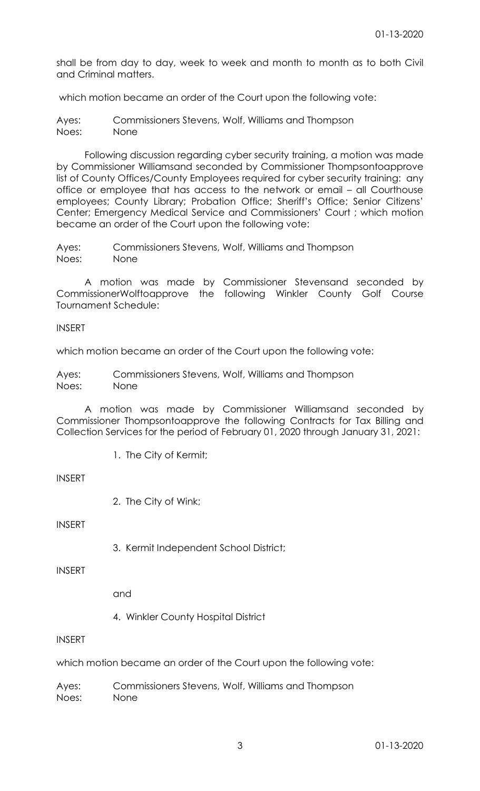shall be from day to day, week to week and month to month as to both Civil and Criminal matters.

which motion became an order of the Court upon the following vote:

Ayes: Commissioners Stevens, Wolf, Williams and Thompson Noes: None

 Following discussion regarding cyber security training, a motion was made by Commissioner Williamsand seconded by Commissioner Thompsontoapprove list of County Offices/County Employees required for cyber security training: any office or employee that has access to the network or email – all Courthouse employees; County Library; Probation Office; Sheriff's Office; Senior Citizens' Center; Emergency Medical Service and Commissioners' Court ; which motion became an order of the Court upon the following vote:

Ayes: Commissioners Stevens, Wolf, Williams and Thompson Noes: None

 A motion was made by Commissioner Stevensand seconded by CommissionerWolftoapprove the following Winkler County Golf Course Tournament Schedule:

INSERT

which motion became an order of the Court upon the following vote:

Ayes: Commissioners Stevens, Wolf, Williams and Thompson Noes: None

 A motion was made by Commissioner Williamsand seconded by Commissioner Thompsontoapprove the following Contracts for Tax Billing and Collection Services for the period of February 01, 2020 through January 31, 2021:

1. The City of Kermit;

INSERT

2. The City of Wink;

INSERT

3. Kermit Independent School District;

INSERT

and

4. Winkler County Hospital District

# INSERT

which motion became an order of the Court upon the following vote:

Ayes: Commissioners Stevens, Wolf, Williams and Thompson Noes: None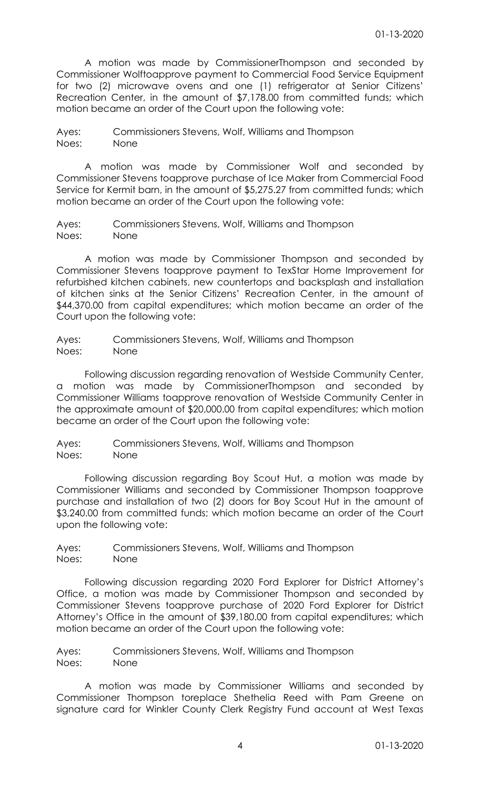A motion was made by CommissionerThompson and seconded by Commissioner Wolftoapprove payment to Commercial Food Service Equipment for two (2) microwave ovens and one (1) refrigerator at Senior Citizens' Recreation Center, in the amount of \$7,178.00 from committed funds; which motion became an order of the Court upon the following vote:

Ayes: Commissioners Stevens, Wolf, Williams and Thompson Noes: None

 A motion was made by Commissioner Wolf and seconded by Commissioner Stevens toapprove purchase of Ice Maker from Commercial Food Service for Kermit barn, in the amount of \$5,275.27 from committed funds; which motion became an order of the Court upon the following vote:

Ayes: Commissioners Stevens, Wolf, Williams and Thompson Noes: None

 A motion was made by Commissioner Thompson and seconded by Commissioner Stevens toapprove payment to TexStar Home Improvement for refurbished kitchen cabinets, new countertops and backsplash and installation of kitchen sinks at the Senior Citizens' Recreation Center, in the amount of \$44,370.00 from capital expenditures; which motion became an order of the Court upon the following vote:

Ayes: Commissioners Stevens, Wolf, Williams and Thompson Noes: None

 Following discussion regarding renovation of Westside Community Center, a motion was made by CommissionerThompson and seconded by Commissioner Williams toapprove renovation of Westside Community Center in the approximate amount of \$20,000.00 from capital expenditures; which motion became an order of the Court upon the following vote:

Ayes: Commissioners Stevens, Wolf, Williams and Thompson Noes: None

 Following discussion regarding Boy Scout Hut, a motion was made by Commissioner Williams and seconded by Commissioner Thompson toapprove purchase and installation of two (2) doors for Boy Scout Hut in the amount of \$3,240.00 from committed funds; which motion became an order of the Court upon the following vote:

Ayes: Commissioners Stevens, Wolf, Williams and Thompson Noes: None

 Following discussion regarding 2020 Ford Explorer for District Attorney's Office, a motion was made by Commissioner Thompson and seconded by Commissioner Stevens toapprove purchase of 2020 Ford Explorer for District Attorney's Office in the amount of \$39,180.00 from capital expenditures; which motion became an order of the Court upon the following vote:

Ayes: Commissioners Stevens, Wolf, Williams and Thompson Noes: None

 A motion was made by Commissioner Williams and seconded by Commissioner Thompson toreplace Shethelia Reed with Pam Greene on signature card for Winkler County Clerk Registry Fund account at West Texas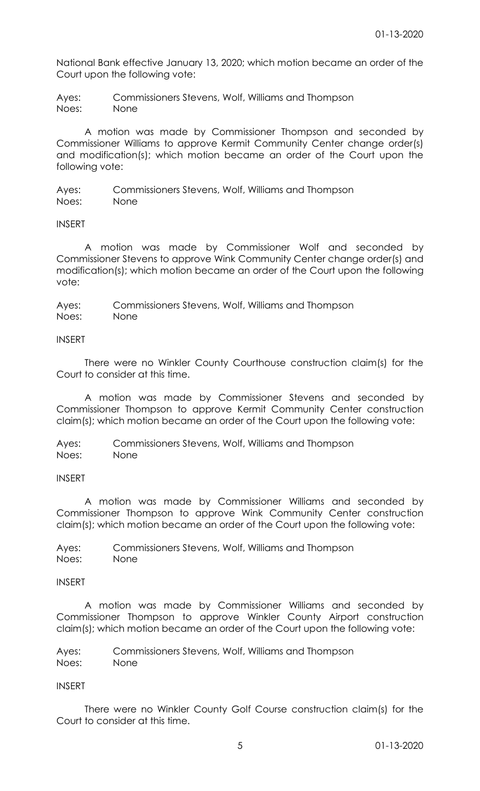National Bank effective January 13, 2020; which motion became an order of the Court upon the following vote:

Ayes: Commissioners Stevens, Wolf, Williams and Thompson Noes: None

 A motion was made by Commissioner Thompson and seconded by Commissioner Williams to approve Kermit Community Center change order(s) and modification(s); which motion became an order of the Court upon the following vote:

Ayes: Commissioners Stevens, Wolf, Williams and Thompson Noes: None

INSERT

 A motion was made by Commissioner Wolf and seconded by Commissioner Stevens to approve Wink Community Center change order(s) and modification(s); which motion became an order of the Court upon the following vote:

Ayes: Commissioners Stevens, Wolf, Williams and Thompson Noes: None

## INSERT

 There were no Winkler County Courthouse construction claim(s) for the Court to consider at this time.

 A motion was made by Commissioner Stevens and seconded by Commissioner Thompson to approve Kermit Community Center construction claim(s); which motion became an order of the Court upon the following vote:

Ayes: Commissioners Stevens, Wolf, Williams and Thompson Noes: None

## INSERT

 A motion was made by Commissioner Williams and seconded by Commissioner Thompson to approve Wink Community Center construction claim(s); which motion became an order of the Court upon the following vote:

Ayes: Commissioners Stevens, Wolf, Williams and Thompson Noes: None

## INSERT

 A motion was made by Commissioner Williams and seconded by Commissioner Thompson to approve Winkler County Airport construction claim(s); which motion became an order of the Court upon the following vote:

Ayes: Commissioners Stevens, Wolf, Williams and Thompson Noes: None

## INSERT

 There were no Winkler County Golf Course construction claim(s) for the Court to consider at this time.